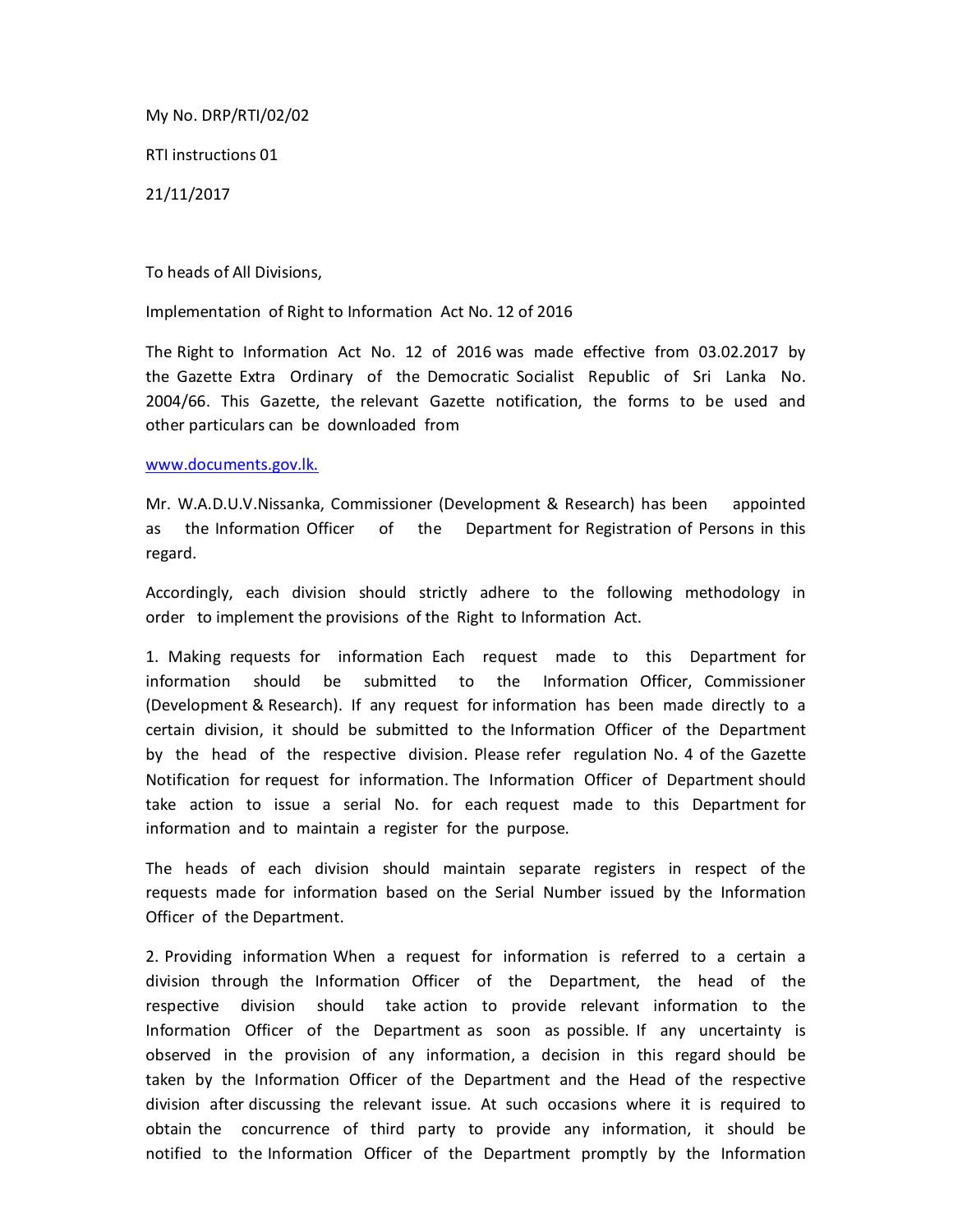My No. DRP/RTI/02/02

RTI instructions 01

21/11/2017

To heads of All Divisions,

Implementation of Right to Information Act No. 12 of 2016

The Right to Information Act No. 12 of 2016 was made effective from 03.02.2017 by the Gazette Extra Ordinary of the Democratic Socialist Republic of Sri Lanka No. 2004/66. This Gazette, the relevant Gazette notification, the forms to be used and other particulars can be downloaded from

## www.documents.gov.lk.

Mr. W.A.D.U.V.Nissanka, Commissioner (Development & Research) has been appointed as the Information Officer of the Department for Registration of Persons in this regard.

Accordingly, each division should strictly adhere to the following methodology in order to implement the provisions of the Right to Information Act.

1. Making requests for information Each request made to this Department for information should be submitted to the Information Officer, Commissioner (Development & Research). If any request for information has been made directly to a certain division, it should be submitted to the Information Officer of the Department by the head of the respective division. Please refer regulation No. 4 of the Gazette Notification for request for information. The Information Officer of Department should take action to issue a serial No. for each request made to this Department for information and to maintain a register for the purpose.

The heads of each division should maintain separate registers in respect of the requests made for information based on the Serial Number issued by the Information Officer of the Department.

2. Providing information When a request for information is referred to a certain a division through the Information Officer of the Department, the head of the respective division should take action to provide relevant information to the Information Officer of the Department as soon as possible. If any uncertainty is observed in the provision of any information, a decision in this regard should be taken by the Information Officer of the Department and the Head of the respective division after discussing the relevant issue. At such occasions where it is required to obtain the concurrence of third party to provide any information, it should be notified to the Information Officer of the Department promptly by the Information